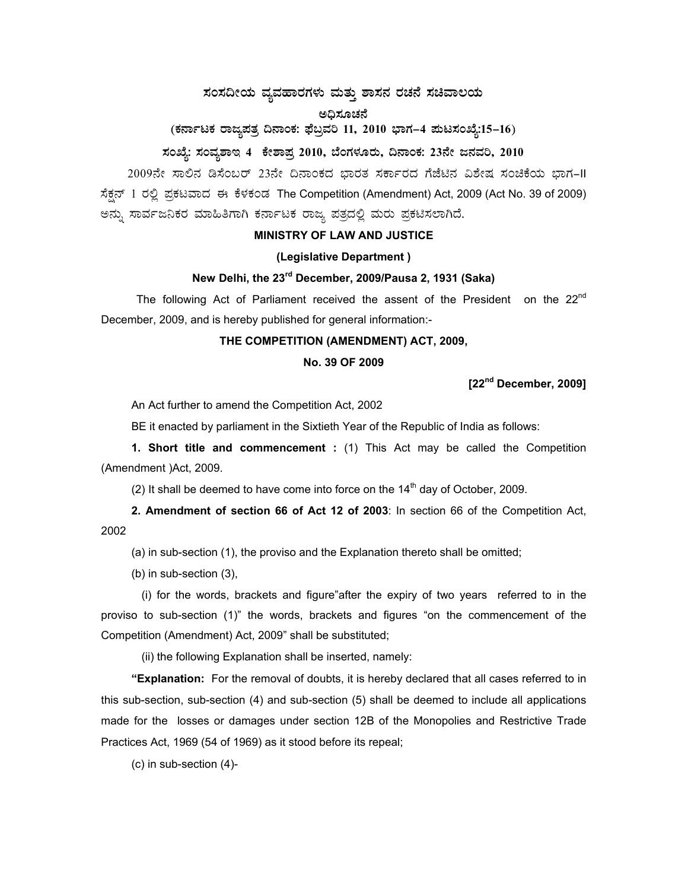# $\pi$ ನಂಸದೀಯ ವ್ಯವಹಾರಗಳು ಮತ್ತು ಶಾಸನ ರಚನೆ ಸಚಿವಾಲಯ

#### ಅಧಿಸೂಚನೆ

# (ಕರ್ನಾಟಕ ರಾಜ್ಯಪತ್ರ ದಿನಾಂಕ: ಫೆಬ್ರವರಿ 11, 2010 ಭಾಗ–4 **ಮಟಸಂಖ್ಯೆ:15–16**)

## **¸ÀASÉå: ¸ÀAªÀå±ÁE 4 PÉñÁ¥Àæ 2010, ¨ÉAUÀ¼ÀÆgÀÄ, ¢£ÁAPÀ: 23£Éà d£ÀªÀj, 2010**

2009ನೇ ಸಾಲಿನ ಡಿಸೆಂಬರ್ 23ನೇ ದಿನಾಂಕದ ಭಾರತ ಸರ್ಕಾರದ ಗೆಜೆಟಿನ ವಿಶೇಷ ಸಂಚಿಕೆಯ ಭಾಗ–II ಸೆಕ್ಷನ್ 1 ರಲ್ಲಿ ಪ್ರಕಟವಾದ ಈ ಕೆಳಕಂಡ The Competition (Amendment) Act, 2009 (Act No. 39 of 2009) ಅನ್ನು ಸಾರ್ವಜನಿಕರ ಮಾಹಿತಿಗಾಗಿ ಕರ್ನಾಟಕ ರಾಜ್ಯ ಪತ್ರದಲ್ಲಿ ಮರು ಪ್ರಕಟಿಸಲಾಗಿದೆ.

### **MINISTRY OF LAW AND JUSTICE**

### **(Legislative Department )**

### **New Delhi, the 23rd December, 2009/Pausa 2, 1931 (Saka)**

The following Act of Parliament received the assent of the President on the  $22^{nd}$ December, 2009, and is hereby published for general information:-

### **THE COMPETITION (AMENDMENT) ACT, 2009,**

#### **No. 39 OF 2009**

**[22nd December, 2009]** 

An Act further to amend the Competition Act, 2002

BE it enacted by parliament in the Sixtieth Year of the Republic of India as follows:

**1. Short title and commencement :** (1) This Act may be called the Competition (Amendment )Act, 2009.

(2) It shall be deemed to have come into force on the  $14<sup>th</sup>$  day of October. 2009.

**2. Amendment of section 66 of Act 12 of 2003**: In section 66 of the Competition Act, 2002

(a) in sub-section (1), the proviso and the Explanation thereto shall be omitted;

(b) in sub-section (3),

 (i) for the words, brackets and figure"after the expiry of two years referred to in the proviso to sub-section (1)" the words, brackets and figures "on the commencement of the Competition (Amendment) Act, 2009" shall be substituted;

(ii) the following Explanation shall be inserted, namely:

**"Explanation:** For the removal of doubts, it is hereby declared that all cases referred to in this sub-section, sub-section (4) and sub-section (5) shall be deemed to include all applications made for the losses or damages under section 12B of the Monopolies and Restrictive Trade Practices Act, 1969 (54 of 1969) as it stood before its repeal;

(c) in sub-section (4)-